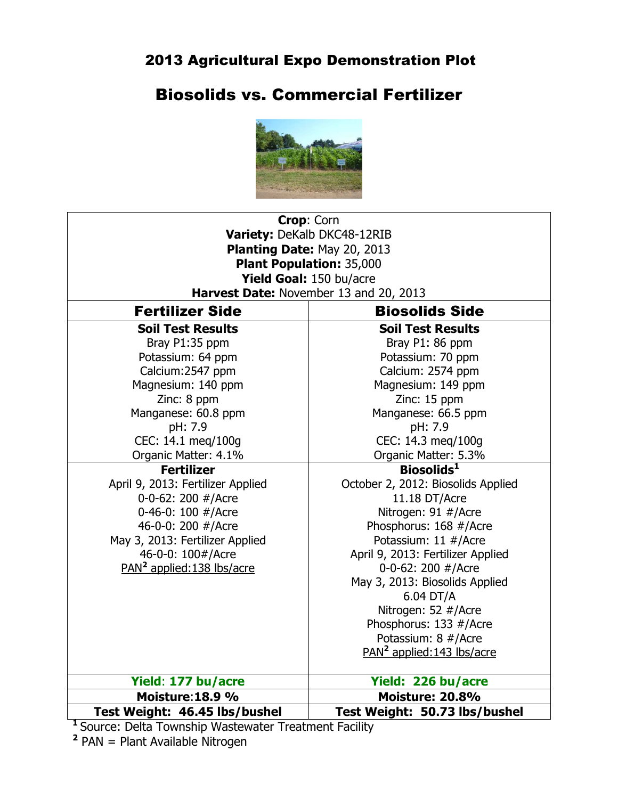# Biosolids vs. Commercial Fertilizer



| Crop: Corn                             |                                        |  |  |  |  |  |  |  |  |
|----------------------------------------|----------------------------------------|--|--|--|--|--|--|--|--|
| Variety: DeKalb DKC48-12RIB            |                                        |  |  |  |  |  |  |  |  |
| Planting Date: May 20, 2013            |                                        |  |  |  |  |  |  |  |  |
| <b>Plant Population: 35,000</b>        |                                        |  |  |  |  |  |  |  |  |
| Yield Goal: 150 bu/acre                |                                        |  |  |  |  |  |  |  |  |
| Harvest Date: November 13 and 20, 2013 |                                        |  |  |  |  |  |  |  |  |
| <b>Fertilizer Side</b>                 | <b>Biosolids Side</b>                  |  |  |  |  |  |  |  |  |
| <b>Soil Test Results</b>               | <b>Soil Test Results</b>               |  |  |  |  |  |  |  |  |
| Bray P1:35 ppm                         | Bray P1: 86 ppm                        |  |  |  |  |  |  |  |  |
| Potassium: 64 ppm                      | Potassium: 70 ppm                      |  |  |  |  |  |  |  |  |
| Calcium: 2547 ppm                      | Calcium: 2574 ppm                      |  |  |  |  |  |  |  |  |
| Magnesium: 140 ppm                     | Magnesium: 149 ppm                     |  |  |  |  |  |  |  |  |
| Zinc: 8 ppm                            | Zinc: 15 ppm                           |  |  |  |  |  |  |  |  |
| Manganese: 60.8 ppm                    | Manganese: 66.5 ppm                    |  |  |  |  |  |  |  |  |
| pH: 7.9                                | pH: 7.9                                |  |  |  |  |  |  |  |  |
| CEC: 14.1 meg/100g                     | CEC: 14.3 meg/100g                     |  |  |  |  |  |  |  |  |
| Organic Matter: 4.1%                   | Organic Matter: 5.3%                   |  |  |  |  |  |  |  |  |
| <b>Fertilizer</b>                      | Biosolids <sup>1</sup>                 |  |  |  |  |  |  |  |  |
| April 9, 2013: Fertilizer Applied      | October 2, 2012: Biosolids Applied     |  |  |  |  |  |  |  |  |
| 0-0-62: 200 #/Acre                     | 11.18 DT/Acre                          |  |  |  |  |  |  |  |  |
| 0-46-0: 100 #/Acre                     | Nitrogen: 91 #/Acre                    |  |  |  |  |  |  |  |  |
| 46-0-0: 200 #/Acre                     | Phosphorus: 168 #/Acre                 |  |  |  |  |  |  |  |  |
| May 3, 2013: Fertilizer Applied        | Potassium: 11 #/Acre                   |  |  |  |  |  |  |  |  |
| 46-0-0: 100#/Acre                      | April 9, 2013: Fertilizer Applied      |  |  |  |  |  |  |  |  |
| PAN <sup>2</sup> applied:138 lbs/acre  | 0-0-62: 200 #/Acre                     |  |  |  |  |  |  |  |  |
|                                        | May 3, 2013: Biosolids Applied         |  |  |  |  |  |  |  |  |
|                                        | 6.04 DT/A                              |  |  |  |  |  |  |  |  |
|                                        | Nitrogen: 52 #/Acre                    |  |  |  |  |  |  |  |  |
|                                        | Phosphorus: 133 #/Acre                 |  |  |  |  |  |  |  |  |
|                                        | Potassium: 8 #/Acre                    |  |  |  |  |  |  |  |  |
|                                        | PAN <sup>2</sup> applied: 143 lbs/acre |  |  |  |  |  |  |  |  |
| Yield: 177 bu/acre                     | Yield: 226 bu/acre                     |  |  |  |  |  |  |  |  |
| Moisture: 18.9 %                       | <b>Moisture: 20.8%</b>                 |  |  |  |  |  |  |  |  |
| Test Weight: 46.45 lbs/bushel          | Test Weight: 50.73 lbs/bushel          |  |  |  |  |  |  |  |  |

**<sup>1</sup>**Source: Delta Township Wastewater Treatment Facility **2** PAN = Plant Available Nitrogen